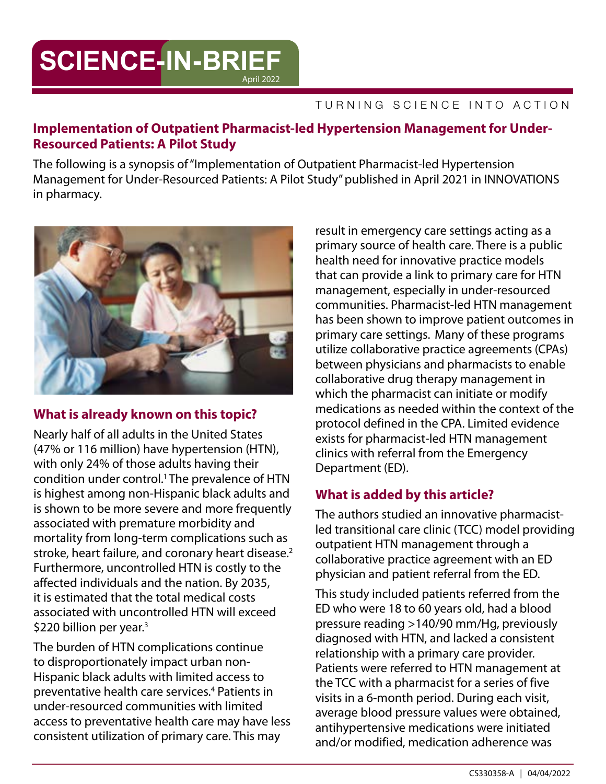# **SCIENCE-IN-BRIEF** April 2022

#### TURNING SCIENCE INTO ACTION

### **Implementation of Outpatient Pharmacist-led Hypertension Management for Under-Resourced Patients: A Pilot Study**

The following is a synopsis of "Implementation of Outpatient Pharmacist-led Hypertension Management for Under-Resourced Patients: A Pilot Study" published in April 2021 in INNOVATIONS in pharmacy.



### **What is already known on this topic?**

Nearly half of all adults in the United States (47% or 116 million) have hypertension (HTN), with only 24% of those adults having their condition under control.1 The prevalence of HTN is highest among non-Hispanic black adults and is shown to be more severe and more frequently associated with premature morbidity and mortality from long-term complications such as stroke, heart failure, and coronary heart disease.<sup>2</sup> Furthermore, uncontrolled HTN is costly to the affected individuals and the nation. By 2035, it is estimated that the total medical costs associated with uncontrolled HTN will exceed \$220 billion per year.<sup>3</sup>

The burden of HTN complications continue to disproportionately impact urban non-Hispanic black adults with limited access to preventative health care services.<sup>4</sup> Patients in under-resourced communities with limited access to preventative health care may have less consistent utilization of primary care. This may

result in emergency care settings acting as a primary source of health care. There is a public health need for innovative practice models that can provide a link to primary care for HTN management, especially in under-resourced communities. Pharmacist-led HTN management has been shown to improve patient outcomes in primary care settings. Many of these programs utilize collaborative practice agreements (CPAs) between physicians and pharmacists to enable collaborative drug therapy management in which the pharmacist can initiate or modify medications as needed within the context of the protocol defined in the CPA. Limited evidence exists for pharmacist-led HTN management clinics with referral from the Emergency Department (ED).

## **What is added by this article?**

The authors studied an innovative pharmacistled transitional care clinic (TCC) model providing outpatient HTN management through a collaborative practice agreement with an ED physician and patient referral from the ED.

This study included patients referred from the ED who were 18 to 60 years old, had a blood pressure reading >140/90 mm/Hg, previously diagnosed with HTN, and lacked a consistent relationship with a primary care provider. Patients were referred to HTN management at the TCC with a pharmacist for a series of five visits in a 6-month period. During each visit, average blood pressure values were obtained, antihypertensive medications were initiated and/or modified, medication adherence was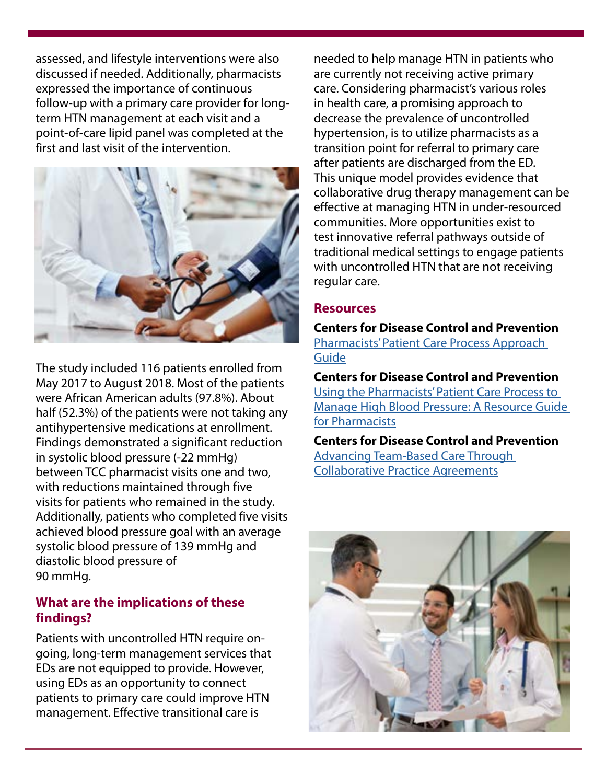assessed, and lifestyle interventions were also discussed if needed. Additionally, pharmacists expressed the importance of continuous follow-up with a primary care provider for longterm HTN management at each visit and a point-of-care lipid panel was completed at the first and last visit of the intervention.



The study included 116 patients enrolled from May 2017 to August 2018. Most of the patients were African American adults (97.8%). About half (52.3%) of the patients were not taking any antihypertensive medications at enrollment. Findings demonstrated a significant reduction in systolic blood pressure (-22 mmHg) between TCC pharmacist visits one and two, with reductions maintained through five visits for patients who remained in the study. Additionally, patients who completed five visits achieved blood pressure goal with an average systolic blood pressure of 139 mmHg and diastolic blood pressure of 90 mmHg.

### **What are the implications of these findings?**

Patients with uncontrolled HTN require ongoing, long-term management services that EDs are not equipped to provide. However, using EDs as an opportunity to connect patients to primary care could improve HTN management. Effective transitional care is

needed to help manage HTN in patients who are currently not receiving active primary care. Considering pharmacist's various roles in health care, a promising approach to decrease the prevalence of uncontrolled hypertension, is to utilize pharmacists as a transition point for referral to primary care after patients are discharged from the ED. This unique model provides evidence that collaborative drug therapy management can be effective at managing HTN in under-resourced communities. More opportunities exist to test innovative referral pathways outside of traditional medical settings to engage patients with uncontrolled HTN that are not receiving regular care.

### **Resources**

**Centers for Disease Control and Prevention** [Pharmacists' Patient Care Process Approach](https://www.cdc.gov/dhdsp/evaluation_resources/guides/pharmacists_patient_care.htm)  [Guide](https://www.cdc.gov/dhdsp/evaluation_resources/guides/pharmacists_patient_care.htm)

**Centers for Disease Control and Prevention** [Using the Pharmacists' Patient Care Process to](https://www.cdc.gov/dhdsp/pubs/docs/pharmacist-resource-guide.pdf)  [Manage High Blood Pressure: A Resource Guide](https://www.cdc.gov/dhdsp/pubs/docs/pharmacist-resource-guide.pdf)  [for Pharmacists](https://www.cdc.gov/dhdsp/pubs/docs/pharmacist-resource-guide.pdf)

**Centers for Disease Control and Prevention** [Advancing Team-Based Care Through](https://www.cdc.gov/dhdsp/pubs/docs/CPA-Team-Based-Care.pdf)  [Collaborative Practice Agreements](https://www.cdc.gov/dhdsp/pubs/docs/CPA-Team-Based-Care.pdf)